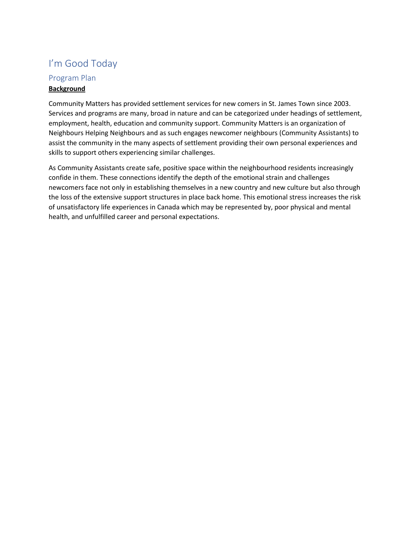## I'm Good Today

# Program Plan

## **Background**

Community Matters has provided settlement services for new comers in St. James Town since 2003. Services and programs are many, broad in nature and can be categorized under headings of settlement, employment, health, education and community support. Community Matters is an organization of Neighbours Helping Neighbours and as such engages newcomer neighbours (Community Assistants) to assist the community in the many aspects of settlement providing their own personal experiences and skills to support others experiencing similar challenges.

As Community Assistants create safe, positive space within the neighbourhood residents increasingly confide in them. These connections identify the depth of the emotional strain and challenges newcomers face not only in establishing themselves in a new country and new culture but also through the loss of the extensive support structures in place back home. This emotional stress increases the risk of unsatisfactory life experiences in Canada which may be represented by, poor physical and mental health, and unfulfilled career and personal expectations.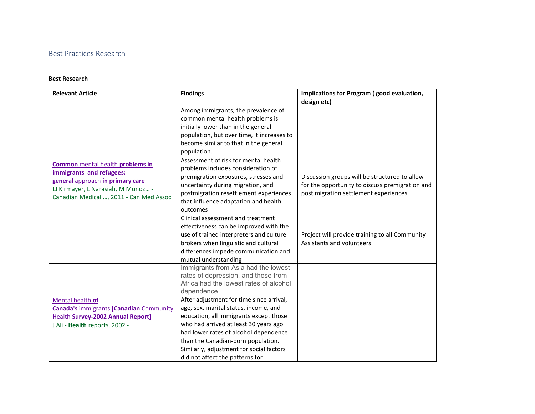## Best Practices Research

#### **Best Research**

| <b>Relevant Article</b>                                                                                                                                                                  | <b>Findings</b>                                                                                                                                                                                                                                                                                                                    | Implications for Program (good evaluation,                                                                                                |  |
|------------------------------------------------------------------------------------------------------------------------------------------------------------------------------------------|------------------------------------------------------------------------------------------------------------------------------------------------------------------------------------------------------------------------------------------------------------------------------------------------------------------------------------|-------------------------------------------------------------------------------------------------------------------------------------------|--|
|                                                                                                                                                                                          | Among immigrants, the prevalence of<br>common mental health problems is<br>initially lower than in the general<br>population, but over time, it increases to<br>become similar to that in the general<br>population.                                                                                                               | design etc)                                                                                                                               |  |
| <b>Common</b> mental health problems in<br>immigrants and refugees:<br>general approach in primary care<br>LJ Kirmayer, L Narasiah, M Munoz -<br>Canadian Medical , 2011 - Can Med Assoc | Assessment of risk for mental health<br>problems includes consideration of<br>premigration exposures, stresses and<br>uncertainty during migration, and<br>postmigration resettlement experiences<br>that influence adaptation and health<br>outcomes                                                                              | Discussion groups will be structured to allow<br>for the opportunity to discuss premigration and<br>post migration settlement experiences |  |
|                                                                                                                                                                                          | Clinical assessment and treatment<br>effectiveness can be improved with the<br>use of trained interpreters and culture<br>brokers when linguistic and cultural<br>differences impede communication and<br>mutual understanding                                                                                                     | Project will provide training to all Community<br>Assistants and volunteers                                                               |  |
|                                                                                                                                                                                          | Immigrants from Asia had the lowest<br>rates of depression, and those from<br>Africa had the lowest rates of alcohol<br>dependence                                                                                                                                                                                                 |                                                                                                                                           |  |
| Mental health of<br><b>Canada's immigrants [Canadian Community</b><br>Health Survey-2002 Annual Report]<br>J Ali - Health reports, 2002 -                                                | After adjustment for time since arrival,<br>age, sex, marital status, income, and<br>education, all immigrants except those<br>who had arrived at least 30 years ago<br>had lower rates of alcohol dependence<br>than the Canadian-born population.<br>Similarly, adjustment for social factors<br>did not affect the patterns for |                                                                                                                                           |  |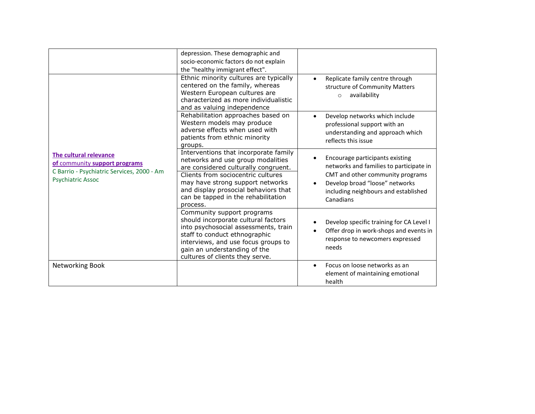|                                                                                                                                   | depression. These demographic and<br>socio-economic factors do not explain<br>the "healthy immigrant effect".                                                                                                                                                                           |                                                                                                                                                                                                       |
|-----------------------------------------------------------------------------------------------------------------------------------|-----------------------------------------------------------------------------------------------------------------------------------------------------------------------------------------------------------------------------------------------------------------------------------------|-------------------------------------------------------------------------------------------------------------------------------------------------------------------------------------------------------|
| The cultural relevance<br>of community support programs<br>C Barrio - Psychiatric Services, 2000 - Am<br><b>Psychiatric Assoc</b> | Ethnic minority cultures are typically<br>centered on the family, whereas<br>Western European cultures are<br>characterized as more individualistic<br>and as valuing independence                                                                                                      | Replicate family centre through<br>structure of Community Matters<br>availability<br>$\circ$                                                                                                          |
|                                                                                                                                   | Rehabilitation approaches based on<br>Western models may produce<br>adverse effects when used with<br>patients from ethnic minority<br>groups.                                                                                                                                          | Develop networks which include<br>professional support with an<br>understanding and approach which<br>reflects this issue                                                                             |
|                                                                                                                                   | Interventions that incorporate family<br>networks and use group modalities<br>are considered culturally congruent.<br>Clients from sociocentric cultures<br>may have strong support networks<br>and display prosocial behaviors that<br>can be tapped in the rehabilitation<br>process. | Encourage participants existing<br>networks and families to participate in<br>CMT and other community programs<br>Develop broad "loose" networks<br>including neighbours and established<br>Canadians |
|                                                                                                                                   | Community support programs<br>should incorporate cultural factors<br>into psychosocial assessments, train<br>staff to conduct ethnographic<br>interviews, and use focus groups to<br>gain an understanding of the<br>cultures of clients they serve.                                    | Develop specific training for CA Level I<br>Offer drop in work-shops and events in<br>response to newcomers expressed<br>needs                                                                        |
| Networking Book                                                                                                                   |                                                                                                                                                                                                                                                                                         | Focus on loose networks as an<br>$\bullet$<br>element of maintaining emotional<br>health                                                                                                              |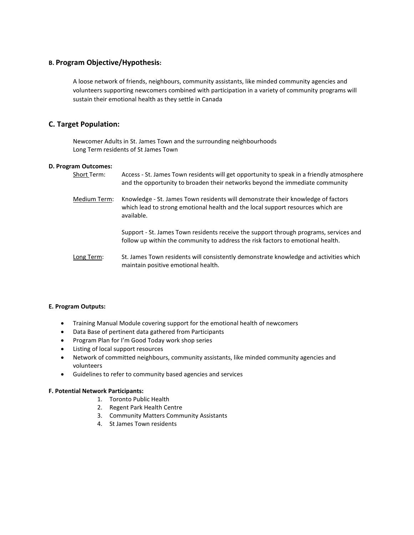### **B. Program Objective/Hypothesis:**

A loose network of friends, neighbours, community assistants, like minded community agencies and volunteers supporting newcomers combined with participation in a variety of community programs will sustain their emotional health as they settle in Canada

## **C. Target Population:**

Newcomer Adults in St. James Town and the surrounding neighbourhoods Long Term residents of St James Town

### **D. Program Outcomes:**

| Short Term:  | Access - St. James Town residents will get opportunity to speak in a friendly atmosphere<br>and the opportunity to broaden their networks beyond the immediate community          |
|--------------|-----------------------------------------------------------------------------------------------------------------------------------------------------------------------------------|
| Medium Term: | Knowledge - St. James Town residents will demonstrate their knowledge of factors<br>which lead to strong emotional health and the local support resources which are<br>available. |
|              | Support - St. James Town residents receive the support through programs, services and<br>follow up within the community to address the risk factors to emotional health.          |
| Long Term:   | St. James Town residents will consistently demonstrate knowledge and activities which                                                                                             |

### **E. Program Outputs:**

• Training Manual Module covering support for the emotional health of newcomers

maintain positive emotional health.

- Data Base of pertinent data gathered from Participants
- Program Plan for I'm Good Today work shop series
- Listing of local support resources
- Network of committed neighbours, community assistants, like minded community agencies and volunteers
- Guidelines to refer to community based agencies and services

### **F. Potential Network Participants:**

- 1. Toronto Public Health
- 2. Regent Park Health Centre
- 3. Community Matters Community Assistants
- 4. St James Town residents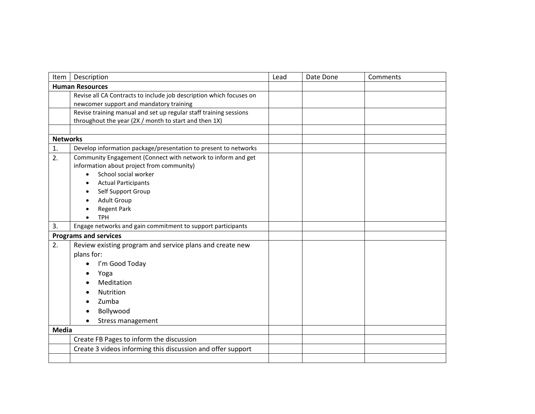| Item            | Description                                                         | Lead | Date Done | Comments |
|-----------------|---------------------------------------------------------------------|------|-----------|----------|
|                 | <b>Human Resources</b>                                              |      |           |          |
|                 | Revise all CA Contracts to include job description which focuses on |      |           |          |
|                 | newcomer support and mandatory training                             |      |           |          |
|                 | Revise training manual and set up regular staff training sessions   |      |           |          |
|                 | throughout the year (2X / month to start and then 1X)               |      |           |          |
|                 |                                                                     |      |           |          |
| <b>Networks</b> |                                                                     |      |           |          |
| 1.              | Develop information package/presentation to present to networks     |      |           |          |
| 2.              | Community Engagement (Connect with network to inform and get        |      |           |          |
|                 | information about project from community)                           |      |           |          |
|                 | School social worker<br>$\bullet$                                   |      |           |          |
|                 | <b>Actual Participants</b><br>$\bullet$                             |      |           |          |
|                 | Self Support Group<br>$\bullet$                                     |      |           |          |
|                 | <b>Adult Group</b><br>$\bullet$                                     |      |           |          |
|                 | <b>Regent Park</b>                                                  |      |           |          |
|                 | <b>TPH</b>                                                          |      |           |          |
|                 | Engage networks and gain commitment to support participants<br>3.   |      |           |          |
|                 | <b>Programs and services</b>                                        |      |           |          |
| 2.              | Review existing program and service plans and create new            |      |           |          |
|                 | plans for:                                                          |      |           |          |
|                 | I'm Good Today<br>$\bullet$                                         |      |           |          |
|                 | Yoga<br>$\bullet$                                                   |      |           |          |
|                 | Meditation                                                          |      |           |          |
|                 | <b>Nutrition</b>                                                    |      |           |          |
|                 | Zumba                                                               |      |           |          |
|                 | Bollywood                                                           |      |           |          |
|                 | <b>Stress management</b>                                            |      |           |          |
| <b>Media</b>    |                                                                     |      |           |          |
|                 | Create FB Pages to inform the discussion                            |      |           |          |
|                 | Create 3 videos informing this discussion and offer support         |      |           |          |
|                 |                                                                     |      |           |          |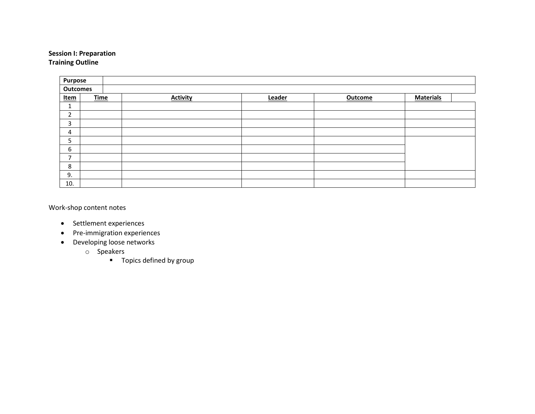## **Session I: Preparation Training Outline**

| Purpose                  |             |                 |        |                |                  |
|--------------------------|-------------|-----------------|--------|----------------|------------------|
| <b>Outcomes</b>          |             |                 |        |                |                  |
| <u>Item</u>              | <b>Time</b> | <b>Activity</b> | Leader | <b>Outcome</b> | <b>Materials</b> |
| ÷.                       |             |                 |        |                |                  |
| $\overline{2}$           |             |                 |        |                |                  |
| 3                        |             |                 |        |                |                  |
| 4                        |             |                 |        |                |                  |
| 5                        |             |                 |        |                |                  |
| 6                        |             |                 |        |                |                  |
| $\overline{\phantom{a}}$ |             |                 |        |                |                  |
| 8                        |             |                 |        |                |                  |
| 9.                       |             |                 |        |                |                  |
| 10.                      |             |                 |        |                |                  |

Work-shop content notes

- Settlement experiences
- Pre-immigration experiences
- Developing loose networks
	- o Speakers
		- **Topics defined by group**